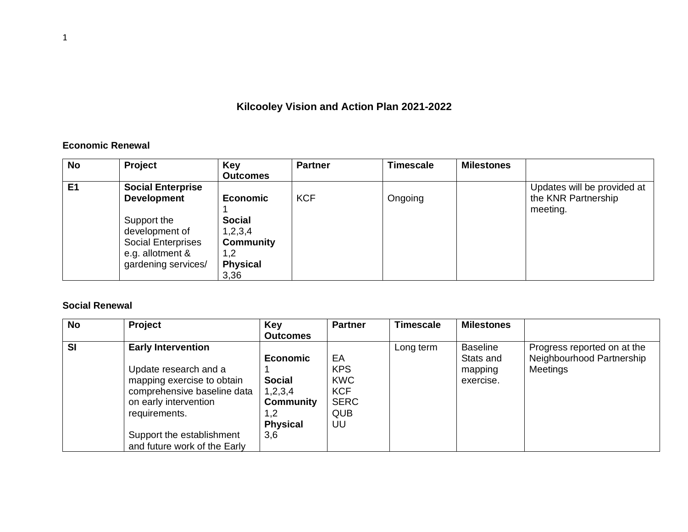## **Kilcooley Vision and Action Plan 2021-2022**

## **Economic Renewal**

| <b>No</b> | Project                                                                                                                                                 | Key<br><b>Outcomes</b>                                                                             | <b>Partner</b> | <b>Timescale</b> | <b>Milestones</b> |                                                                |
|-----------|---------------------------------------------------------------------------------------------------------------------------------------------------------|----------------------------------------------------------------------------------------------------|----------------|------------------|-------------------|----------------------------------------------------------------|
| E1        | <b>Social Enterprise</b><br><b>Development</b><br>Support the<br>development of<br><b>Social Enterprises</b><br>e.g. allotment &<br>gardening services/ | <b>Economic</b><br><b>Social</b><br>1,2,3,4<br><b>Community</b><br>2. ا<br><b>Physical</b><br>3,36 | <b>KCF</b>     | Ongoing          |                   | Updates will be provided at<br>the KNR Partnership<br>meeting. |

## **Social Renewal**

| <b>No</b> | <b>Project</b>               | Key              | <b>Partner</b> | Timescale | <b>Milestones</b> |                             |
|-----------|------------------------------|------------------|----------------|-----------|-------------------|-----------------------------|
|           |                              | <b>Outcomes</b>  |                |           |                   |                             |
| <b>SI</b> | <b>Early Intervention</b>    |                  |                | Long term | <b>Baseline</b>   | Progress reported on at the |
|           |                              | <b>Economic</b>  | ЕA             |           | Stats and         | Neighbourhood Partnership   |
|           | Update research and a        |                  | <b>KPS</b>     |           | mapping           | <b>Meetings</b>             |
|           | mapping exercise to obtain   | <b>Social</b>    | <b>KWC</b>     |           | exercise.         |                             |
|           | comprehensive baseline data  | 1,2,3,4          | <b>KCF</b>     |           |                   |                             |
|           | on early intervention        | <b>Community</b> | <b>SERC</b>    |           |                   |                             |
|           | requirements.                | 1,2              | <b>QUB</b>     |           |                   |                             |
|           |                              | <b>Physical</b>  | UU             |           |                   |                             |
|           | Support the establishment    | 3,6              |                |           |                   |                             |
|           | and future work of the Early |                  |                |           |                   |                             |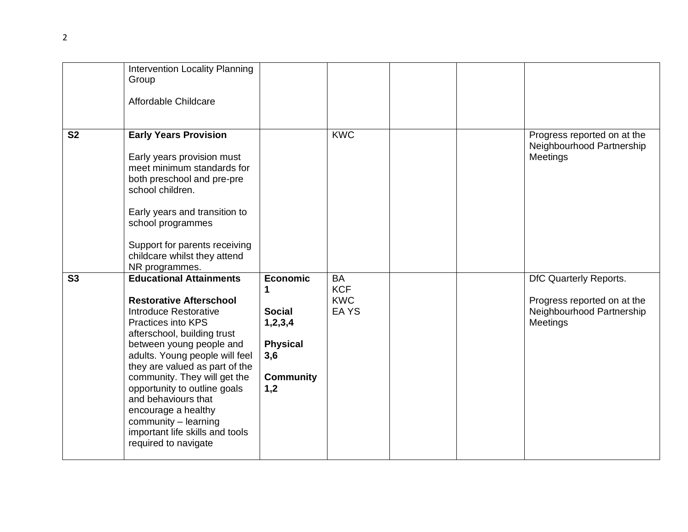|                | Intervention Locality Planning<br>Group<br>Affordable Childcare                                                                                                                                                                                                                                                                                                                                                                                        |                                                                                                  |                                                |  |                                                                                                |
|----------------|--------------------------------------------------------------------------------------------------------------------------------------------------------------------------------------------------------------------------------------------------------------------------------------------------------------------------------------------------------------------------------------------------------------------------------------------------------|--------------------------------------------------------------------------------------------------|------------------------------------------------|--|------------------------------------------------------------------------------------------------|
| <b>S2</b>      | <b>Early Years Provision</b><br>Early years provision must<br>meet minimum standards for<br>both preschool and pre-pre<br>school children.<br>Early years and transition to<br>school programmes<br>Support for parents receiving<br>childcare whilst they attend<br>NR programmes.                                                                                                                                                                    |                                                                                                  | <b>KWC</b>                                     |  | Progress reported on at the<br>Neighbourhood Partnership<br>Meetings                           |
| S <sub>3</sub> | <b>Educational Attainments</b><br><b>Restorative Afterschool</b><br>Introduce Restorative<br><b>Practices into KPS</b><br>afterschool, building trust<br>between young people and<br>adults. Young people will feel<br>they are valued as part of the<br>community. They will get the<br>opportunity to outline goals<br>and behaviours that<br>encourage a healthy<br>community - learning<br>important life skills and tools<br>required to navigate | <b>Economic</b><br><b>Social</b><br>1,2,3,4<br><b>Physical</b><br>3,6<br><b>Community</b><br>1,2 | <b>BA</b><br><b>KCF</b><br><b>KWC</b><br>EA YS |  | DfC Quarterly Reports.<br>Progress reported on at the<br>Neighbourhood Partnership<br>Meetings |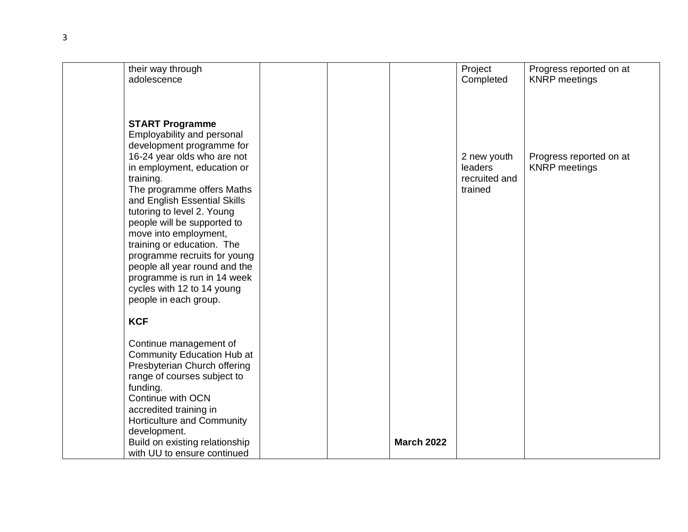| their way through                                                                                                                                                                                                                                                                                                                                                                                                                              |  |                   | Project                                            | Progress reported on at                         |
|------------------------------------------------------------------------------------------------------------------------------------------------------------------------------------------------------------------------------------------------------------------------------------------------------------------------------------------------------------------------------------------------------------------------------------------------|--|-------------------|----------------------------------------------------|-------------------------------------------------|
| adolescence                                                                                                                                                                                                                                                                                                                                                                                                                                    |  |                   | Completed                                          | <b>KNRP</b> meetings                            |
| <b>START Programme</b><br>Employability and personal<br>development programme for<br>16-24 year olds who are not<br>in employment, education or<br>training.<br>The programme offers Maths<br>and English Essential Skills<br>tutoring to level 2. Young<br>people will be supported to<br>move into employment,<br>training or education. The<br>programme recruits for young<br>people all year round and the<br>programme is run in 14 week |  |                   | 2 new youth<br>leaders<br>recruited and<br>trained | Progress reported on at<br><b>KNRP</b> meetings |
| cycles with 12 to 14 young<br>people in each group.                                                                                                                                                                                                                                                                                                                                                                                            |  |                   |                                                    |                                                 |
| <b>KCF</b>                                                                                                                                                                                                                                                                                                                                                                                                                                     |  |                   |                                                    |                                                 |
|                                                                                                                                                                                                                                                                                                                                                                                                                                                |  |                   |                                                    |                                                 |
| Continue management of                                                                                                                                                                                                                                                                                                                                                                                                                         |  |                   |                                                    |                                                 |
| Community Education Hub at<br>Presbyterian Church offering                                                                                                                                                                                                                                                                                                                                                                                     |  |                   |                                                    |                                                 |
| range of courses subject to                                                                                                                                                                                                                                                                                                                                                                                                                    |  |                   |                                                    |                                                 |
| funding.                                                                                                                                                                                                                                                                                                                                                                                                                                       |  |                   |                                                    |                                                 |
| Continue with OCN<br>accredited training in                                                                                                                                                                                                                                                                                                                                                                                                    |  |                   |                                                    |                                                 |
| Horticulture and Community                                                                                                                                                                                                                                                                                                                                                                                                                     |  |                   |                                                    |                                                 |
| development.                                                                                                                                                                                                                                                                                                                                                                                                                                   |  |                   |                                                    |                                                 |
| Build on existing relationship<br>with UU to ensure continued                                                                                                                                                                                                                                                                                                                                                                                  |  | <b>March 2022</b> |                                                    |                                                 |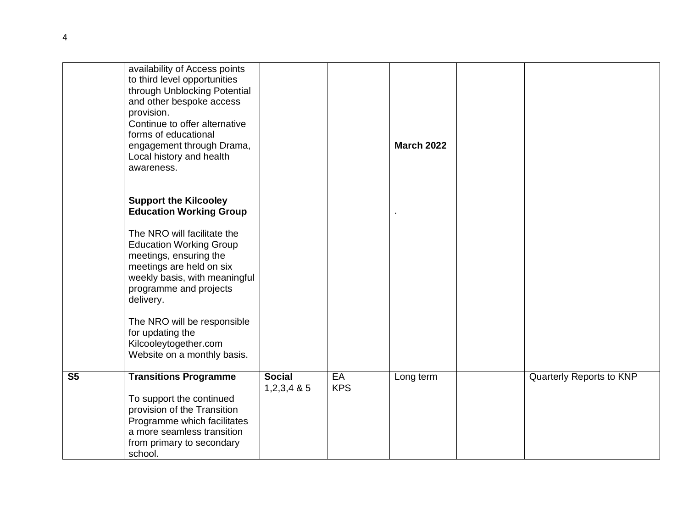|                | availability of Access points<br>to third level opportunities<br>through Unblocking Potential<br>and other bespoke access<br>provision.<br>Continue to offer alternative<br>forms of educational<br>engagement through Drama,<br>Local history and health<br>awareness. |                                |                  | <b>March 2022</b> |                          |
|----------------|-------------------------------------------------------------------------------------------------------------------------------------------------------------------------------------------------------------------------------------------------------------------------|--------------------------------|------------------|-------------------|--------------------------|
|                | <b>Support the Kilcooley</b><br><b>Education Working Group</b>                                                                                                                                                                                                          |                                |                  |                   |                          |
|                | The NRO will facilitate the<br><b>Education Working Group</b><br>meetings, ensuring the<br>meetings are held on six<br>weekly basis, with meaningful<br>programme and projects<br>delivery.                                                                             |                                |                  |                   |                          |
|                | The NRO will be responsible<br>for updating the<br>Kilcooleytogether.com<br>Website on a monthly basis.                                                                                                                                                                 |                                |                  |                   |                          |
| S <sub>5</sub> | <b>Transitions Programme</b><br>To support the continued<br>provision of the Transition<br>Programme which facilitates<br>a more seamless transition<br>from primary to secondary<br>school.                                                                            | <b>Social</b><br>$1,2,3,4$ & 5 | EA<br><b>KPS</b> | Long term         | Quarterly Reports to KNP |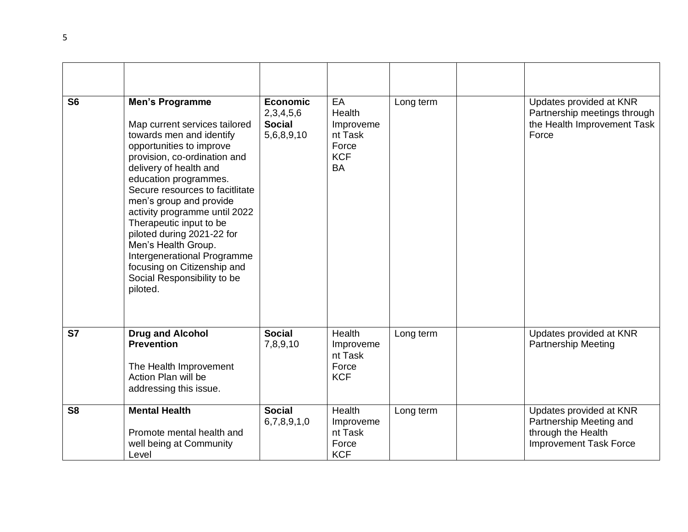| S <sub>6</sub> | <b>Men's Programme</b><br>Map current services tailored<br>towards men and identify<br>opportunities to improve<br>provision, co-ordination and<br>delivery of health and<br>education programmes.<br>Secure resources to facitlitate<br>men's group and provide<br>activity programme until 2022<br>Therapeutic input to be<br>piloted during 2021-22 for<br>Men's Health Group.<br>Intergenerational Programme<br>focusing on Citizenship and<br>Social Responsibility to be<br>piloted. | <b>Economic</b><br>2,3,4,5,6<br><b>Social</b><br>5,6,8,9,10 | EA<br>Health<br>Improveme<br>nt Task<br>Force<br><b>KCF</b><br><b>BA</b> | Long term | Updates provided at KNR<br>Partnership meetings through<br>the Health Improvement Task<br>Force           |
|----------------|--------------------------------------------------------------------------------------------------------------------------------------------------------------------------------------------------------------------------------------------------------------------------------------------------------------------------------------------------------------------------------------------------------------------------------------------------------------------------------------------|-------------------------------------------------------------|--------------------------------------------------------------------------|-----------|-----------------------------------------------------------------------------------------------------------|
| <b>S7</b>      | <b>Drug and Alcohol</b><br><b>Prevention</b><br>The Health Improvement<br>Action Plan will be<br>addressing this issue.                                                                                                                                                                                                                                                                                                                                                                    | <b>Social</b><br>7,8,9,10                                   | Health<br>Improveme<br>nt Task<br>Force<br><b>KCF</b>                    | Long term | Updates provided at KNR<br><b>Partnership Meeting</b>                                                     |
| S <sub>8</sub> | <b>Mental Health</b><br>Promote mental health and<br>well being at Community<br>Level                                                                                                                                                                                                                                                                                                                                                                                                      | <b>Social</b><br>6,7,8,9,1,0                                | Health<br>Improveme<br>nt Task<br>Force<br><b>KCF</b>                    | Long term | Updates provided at KNR<br>Partnership Meeting and<br>through the Health<br><b>Improvement Task Force</b> |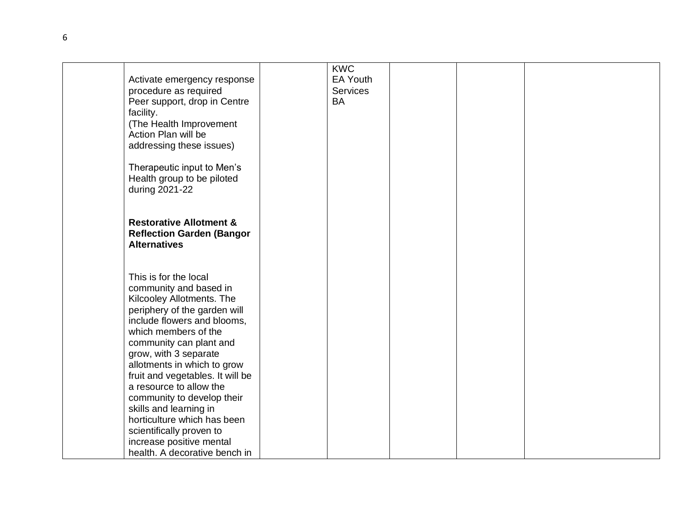|                                    | <b>KWC</b>      |  |  |
|------------------------------------|-----------------|--|--|
|                                    | <b>EA Youth</b> |  |  |
| Activate emergency response        |                 |  |  |
| procedure as required              | Services        |  |  |
| Peer support, drop in Centre       | <b>BA</b>       |  |  |
| facility.                          |                 |  |  |
| (The Health Improvement            |                 |  |  |
| Action Plan will be                |                 |  |  |
| addressing these issues)           |                 |  |  |
| Therapeutic input to Men's         |                 |  |  |
| Health group to be piloted         |                 |  |  |
| during 2021-22                     |                 |  |  |
|                                    |                 |  |  |
|                                    |                 |  |  |
| <b>Restorative Allotment &amp;</b> |                 |  |  |
| <b>Reflection Garden (Bangor</b>   |                 |  |  |
| <b>Alternatives</b>                |                 |  |  |
|                                    |                 |  |  |
|                                    |                 |  |  |
| This is for the local              |                 |  |  |
| community and based in             |                 |  |  |
|                                    |                 |  |  |
| Kilcooley Allotments. The          |                 |  |  |
| periphery of the garden will       |                 |  |  |
| include flowers and blooms,        |                 |  |  |
| which members of the               |                 |  |  |
| community can plant and            |                 |  |  |
| grow, with 3 separate              |                 |  |  |
| allotments in which to grow        |                 |  |  |
| fruit and vegetables. It will be   |                 |  |  |
| a resource to allow the            |                 |  |  |
| community to develop their         |                 |  |  |
| skills and learning in             |                 |  |  |
| horticulture which has been        |                 |  |  |
| scientifically proven to           |                 |  |  |
| increase positive mental           |                 |  |  |
| health. A decorative bench in      |                 |  |  |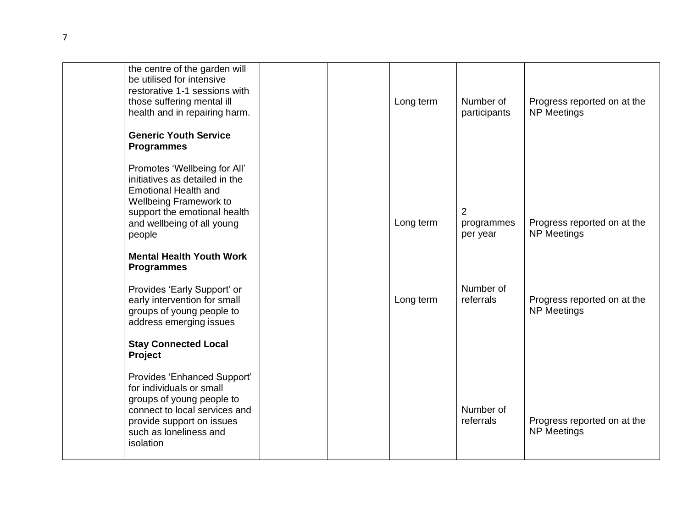| the centre of the garden will<br>be utilised for intensive<br>restorative 1-1 sessions with<br>those suffering mental ill<br>health and in repairing harm.<br><b>Generic Youth Service</b><br><b>Programmes</b> |  | Long term | Number of<br>participants   | Progress reported on at the<br><b>NP Meetings</b> |
|-----------------------------------------------------------------------------------------------------------------------------------------------------------------------------------------------------------------|--|-----------|-----------------------------|---------------------------------------------------|
| Promotes 'Wellbeing for All'<br>initiatives as detailed in the<br><b>Emotional Health and</b><br>Wellbeing Framework to<br>support the emotional health<br>and wellbeing of all young<br>people                 |  | Long term | 2<br>programmes<br>per year | Progress reported on at the<br><b>NP Meetings</b> |
| <b>Mental Health Youth Work</b><br><b>Programmes</b>                                                                                                                                                            |  |           |                             |                                                   |
| Provides 'Early Support' or<br>early intervention for small<br>groups of young people to<br>address emerging issues                                                                                             |  | Long term | Number of<br>referrals      | Progress reported on at the<br><b>NP Meetings</b> |
| <b>Stay Connected Local</b><br>Project                                                                                                                                                                          |  |           |                             |                                                   |
| Provides 'Enhanced Support'<br>for individuals or small<br>groups of young people to<br>connect to local services and<br>provide support on issues<br>such as loneliness and<br>isolation                       |  |           | Number of<br>referrals      | Progress reported on at the<br><b>NP Meetings</b> |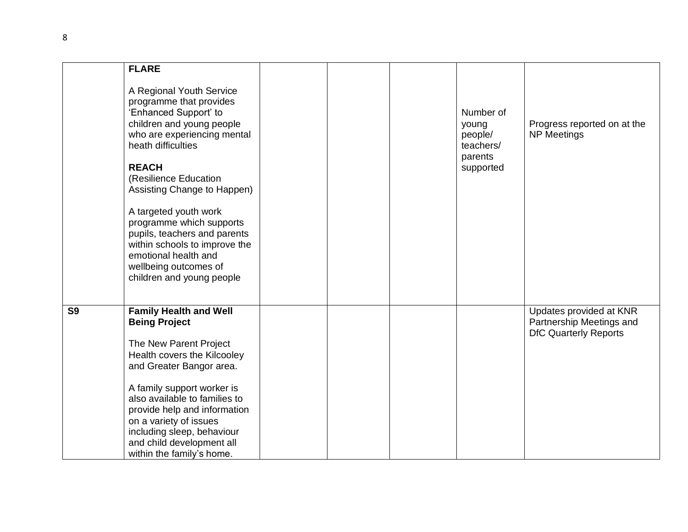|                | <b>FLARE</b>                                                                                                                                                                                     |  |                                            |                                                                                     |
|----------------|--------------------------------------------------------------------------------------------------------------------------------------------------------------------------------------------------|--|--------------------------------------------|-------------------------------------------------------------------------------------|
|                |                                                                                                                                                                                                  |  |                                            |                                                                                     |
|                | A Regional Youth Service<br>programme that provides<br>'Enhanced Support' to<br>children and young people<br>who are experiencing mental<br>heath difficulties                                   |  | Number of<br>young<br>people/<br>teachers/ | Progress reported on at the<br><b>NP Meetings</b>                                   |
|                | <b>REACH</b><br>(Resilience Education<br>Assisting Change to Happen)                                                                                                                             |  | parents<br>supported                       |                                                                                     |
|                | A targeted youth work<br>programme which supports<br>pupils, teachers and parents<br>within schools to improve the<br>emotional health and<br>wellbeing outcomes of<br>children and young people |  |                                            |                                                                                     |
|                |                                                                                                                                                                                                  |  |                                            |                                                                                     |
|                |                                                                                                                                                                                                  |  |                                            |                                                                                     |
| S <sub>9</sub> | <b>Family Health and Well</b><br><b>Being Project</b><br>The New Parent Project<br>Health covers the Kilcooley<br>and Greater Bangor area.                                                       |  |                                            | Updates provided at KNR<br>Partnership Meetings and<br><b>DfC Quarterly Reports</b> |
|                |                                                                                                                                                                                                  |  |                                            |                                                                                     |
|                | A family support worker is<br>also available to families to                                                                                                                                      |  |                                            |                                                                                     |
|                | provide help and information                                                                                                                                                                     |  |                                            |                                                                                     |
|                | on a variety of issues                                                                                                                                                                           |  |                                            |                                                                                     |
|                | including sleep, behaviour                                                                                                                                                                       |  |                                            |                                                                                     |
|                | and child development all<br>within the family's home.                                                                                                                                           |  |                                            |                                                                                     |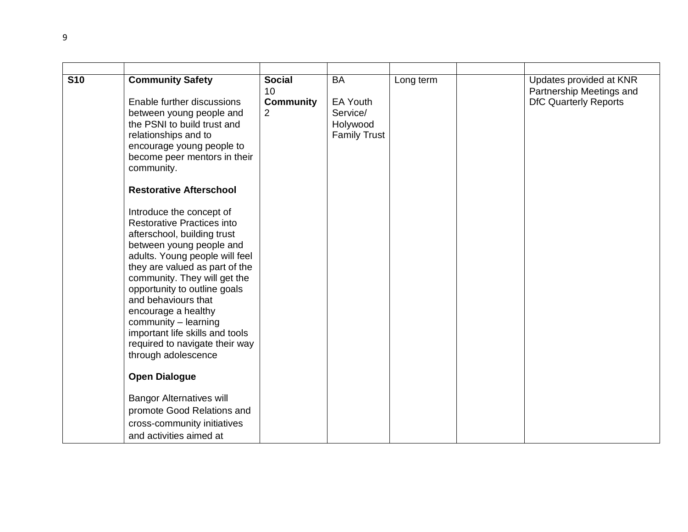| <b>S10</b> | <b>Community Safety</b><br>Enable further discussions<br>between young people and<br>the PSNI to build trust and<br>relationships and to<br>encourage young people to<br>become peer mentors in their<br>community.                                                                                                                                                                                                            | <b>Social</b><br>10<br><b>Community</b><br>$\overline{2}$ | <b>BA</b><br>EA Youth<br>Service/<br>Holywood<br><b>Family Trust</b> | Long term | Updates provided at KNR<br>Partnership Meetings and<br><b>DfC Quarterly Reports</b> |
|------------|--------------------------------------------------------------------------------------------------------------------------------------------------------------------------------------------------------------------------------------------------------------------------------------------------------------------------------------------------------------------------------------------------------------------------------|-----------------------------------------------------------|----------------------------------------------------------------------|-----------|-------------------------------------------------------------------------------------|
|            | <b>Restorative Afterschool</b>                                                                                                                                                                                                                                                                                                                                                                                                 |                                                           |                                                                      |           |                                                                                     |
|            | Introduce the concept of<br><b>Restorative Practices into</b><br>afterschool, building trust<br>between young people and<br>adults. Young people will feel<br>they are valued as part of the<br>community. They will get the<br>opportunity to outline goals<br>and behaviours that<br>encourage a healthy<br>community - learning<br>important life skills and tools<br>required to navigate their way<br>through adolescence |                                                           |                                                                      |           |                                                                                     |
|            | <b>Open Dialogue</b>                                                                                                                                                                                                                                                                                                                                                                                                           |                                                           |                                                                      |           |                                                                                     |
|            | <b>Bangor Alternatives will</b><br>promote Good Relations and<br>cross-community initiatives<br>and activities aimed at                                                                                                                                                                                                                                                                                                        |                                                           |                                                                      |           |                                                                                     |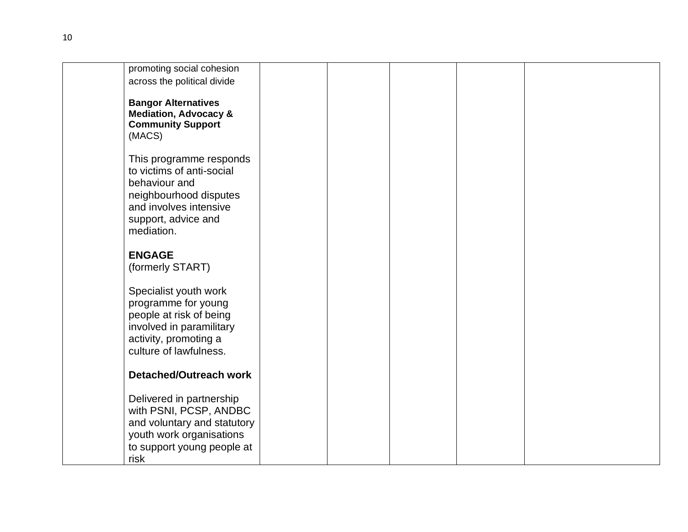| promoting social cohesion        |  |  |  |
|----------------------------------|--|--|--|
| across the political divide      |  |  |  |
|                                  |  |  |  |
|                                  |  |  |  |
| <b>Bangor Alternatives</b>       |  |  |  |
| <b>Mediation, Advocacy &amp;</b> |  |  |  |
| <b>Community Support</b>         |  |  |  |
|                                  |  |  |  |
| (MACS)                           |  |  |  |
|                                  |  |  |  |
| This programme responds          |  |  |  |
| to victims of anti-social        |  |  |  |
|                                  |  |  |  |
| behaviour and                    |  |  |  |
| neighbourhood disputes           |  |  |  |
| and involves intensive           |  |  |  |
|                                  |  |  |  |
| support, advice and              |  |  |  |
| mediation.                       |  |  |  |
|                                  |  |  |  |
| <b>ENGAGE</b>                    |  |  |  |
|                                  |  |  |  |
| (formerly START)                 |  |  |  |
|                                  |  |  |  |
| Specialist youth work            |  |  |  |
| programme for young              |  |  |  |
|                                  |  |  |  |
| people at risk of being          |  |  |  |
| involved in paramilitary         |  |  |  |
| activity, promoting a            |  |  |  |
|                                  |  |  |  |
| culture of lawfulness.           |  |  |  |
|                                  |  |  |  |
| Detached/Outreach work           |  |  |  |
|                                  |  |  |  |
|                                  |  |  |  |
| Delivered in partnership         |  |  |  |
| with PSNI, PCSP, ANDBC           |  |  |  |
| and voluntary and statutory      |  |  |  |
|                                  |  |  |  |
| youth work organisations         |  |  |  |
| to support young people at       |  |  |  |
| risk                             |  |  |  |
|                                  |  |  |  |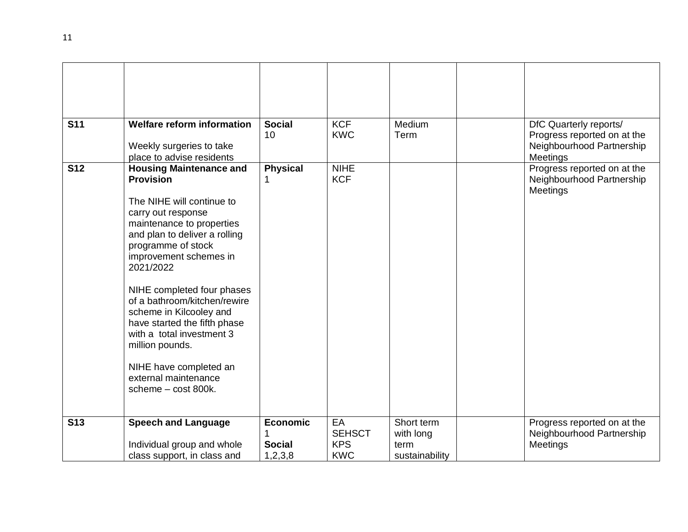| <b>S11</b> | <b>Welfare reform information</b>                         | <b>Social</b><br>10 | <b>KCF</b><br><b>KWC</b> | Medium<br>Term | DfC Quarterly reports/<br>Progress reported on at the |
|------------|-----------------------------------------------------------|---------------------|--------------------------|----------------|-------------------------------------------------------|
|            | Weekly surgeries to take                                  |                     |                          |                | Neighbourhood Partnership                             |
|            | place to advise residents                                 |                     |                          |                | <b>Meetings</b>                                       |
| <b>S12</b> | <b>Housing Maintenance and</b>                            | <b>Physical</b>     | <b>NIHE</b>              |                | Progress reported on at the                           |
|            | <b>Provision</b>                                          |                     | <b>KCF</b>               |                | Neighbourhood Partnership<br><b>Meetings</b>          |
|            | The NIHE will continue to                                 |                     |                          |                |                                                       |
|            | carry out response                                        |                     |                          |                |                                                       |
|            | maintenance to properties                                 |                     |                          |                |                                                       |
|            | and plan to deliver a rolling<br>programme of stock       |                     |                          |                |                                                       |
|            | improvement schemes in                                    |                     |                          |                |                                                       |
|            | 2021/2022                                                 |                     |                          |                |                                                       |
|            | NIHE completed four phases                                |                     |                          |                |                                                       |
|            | of a bathroom/kitchen/rewire                              |                     |                          |                |                                                       |
|            | scheme in Kilcooley and                                   |                     |                          |                |                                                       |
|            | have started the fifth phase<br>with a total investment 3 |                     |                          |                |                                                       |
|            | million pounds.                                           |                     |                          |                |                                                       |
|            |                                                           |                     |                          |                |                                                       |
|            | NIHE have completed an<br>external maintenance            |                     |                          |                |                                                       |
|            | scheme - cost 800k.                                       |                     |                          |                |                                                       |
|            |                                                           |                     |                          |                |                                                       |
| <b>S13</b> | <b>Speech and Language</b>                                | <b>Economic</b>     | EA                       | Short term     | Progress reported on at the                           |
|            |                                                           |                     | <b>SEHSCT</b>            | with long      | Neighbourhood Partnership                             |
|            | Individual group and whole                                | <b>Social</b>       | <b>KPS</b>               | term           | Meetings                                              |
|            | class support, in class and                               | 1,2,3,8             | <b>KWC</b>               | sustainability |                                                       |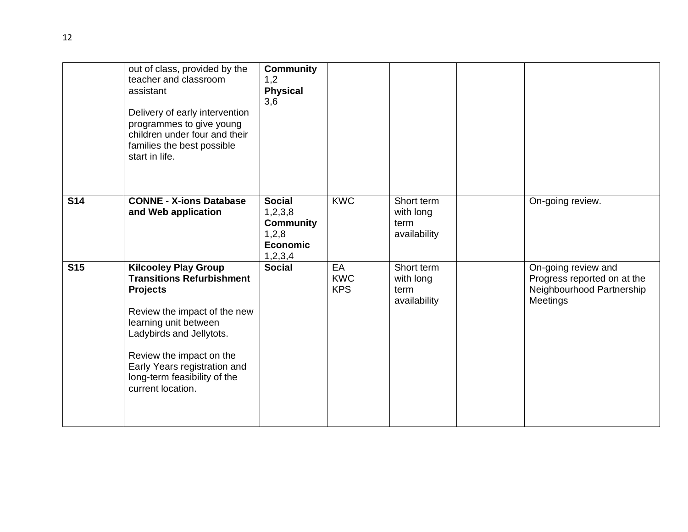|            | out of class, provided by the<br>teacher and classroom<br>assistant<br>Delivery of early intervention<br>programmes to give young<br>children under four and their<br>families the best possible<br>start in life.                                                                       | <b>Community</b><br>1,2<br><b>Physical</b><br>3,6                                   |                                |                                                 |                                                                                             |
|------------|------------------------------------------------------------------------------------------------------------------------------------------------------------------------------------------------------------------------------------------------------------------------------------------|-------------------------------------------------------------------------------------|--------------------------------|-------------------------------------------------|---------------------------------------------------------------------------------------------|
| <b>S14</b> | <b>CONNE - X-ions Database</b><br>and Web application                                                                                                                                                                                                                                    | <b>Social</b><br>1,2,3,8<br><b>Community</b><br>1,2,8<br><b>Economic</b><br>1,2,3,4 | <b>KWC</b>                     | Short term<br>with long<br>term<br>availability | On-going review.                                                                            |
| <b>S15</b> | <b>Kilcooley Play Group</b><br><b>Transitions Refurbishment</b><br><b>Projects</b><br>Review the impact of the new<br>learning unit between<br>Ladybirds and Jellytots.<br>Review the impact on the<br>Early Years registration and<br>long-term feasibility of the<br>current location. | <b>Social</b>                                                                       | EA<br><b>KWC</b><br><b>KPS</b> | Short term<br>with long<br>term<br>availability | On-going review and<br>Progress reported on at the<br>Neighbourhood Partnership<br>Meetings |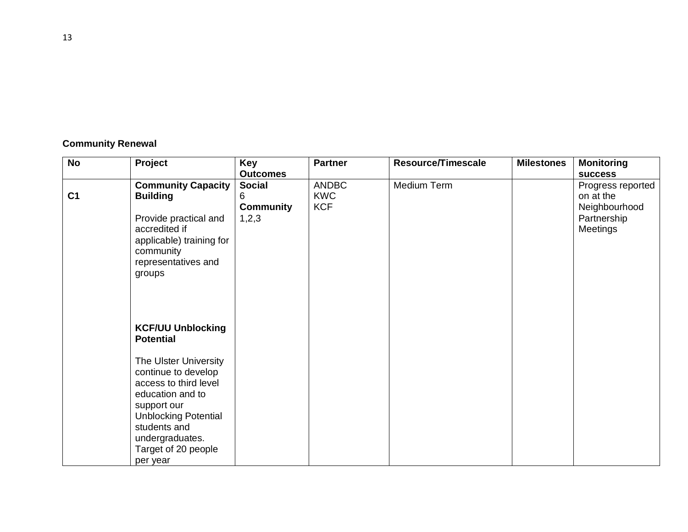| <b>Community Renewal</b> |  |
|--------------------------|--|
|--------------------------|--|

| <b>No</b>      | Project                                                                                                                                                                                                       | Key                                             | <b>Partner</b>                           | <b>Resource/Timescale</b> | <b>Milestones</b> | <b>Monitoring</b>                                                                 |
|----------------|---------------------------------------------------------------------------------------------------------------------------------------------------------------------------------------------------------------|-------------------------------------------------|------------------------------------------|---------------------------|-------------------|-----------------------------------------------------------------------------------|
|                |                                                                                                                                                                                                               | <b>Outcomes</b>                                 |                                          |                           |                   | <b>SUCCESS</b>                                                                    |
| C <sub>1</sub> | <b>Community Capacity</b><br><b>Building</b><br>Provide practical and<br>accredited if<br>applicable) training for<br>community<br>representatives and                                                        | <b>Social</b><br>6<br><b>Community</b><br>1,2,3 | <b>ANDBC</b><br><b>KWC</b><br><b>KCF</b> | Medium Term               |                   | Progress reported<br>on at the<br>Neighbourhood<br>Partnership<br><b>Meetings</b> |
|                | groups<br><b>KCF/UU Unblocking</b><br><b>Potential</b>                                                                                                                                                        |                                                 |                                          |                           |                   |                                                                                   |
|                | The Ulster University<br>continue to develop<br>access to third level<br>education and to<br>support our<br><b>Unblocking Potential</b><br>students and<br>undergraduates.<br>Target of 20 people<br>per year |                                                 |                                          |                           |                   |                                                                                   |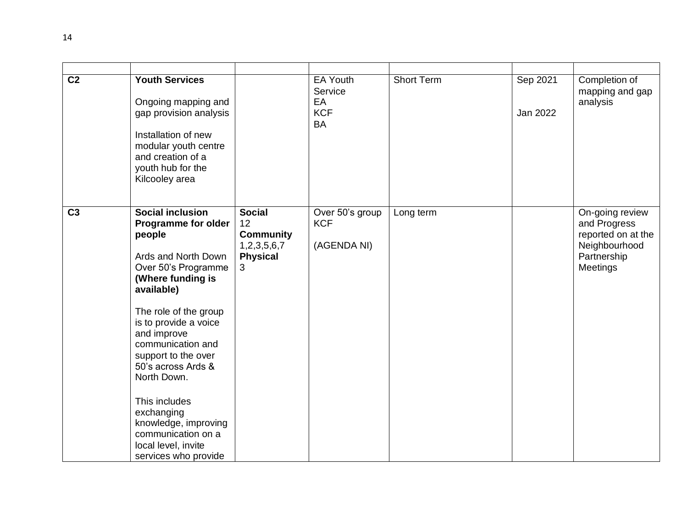| C <sub>2</sub> | <b>Youth Services</b><br>Ongoing mapping and<br>gap provision analysis<br>Installation of new<br>modular youth centre<br>and creation of a<br>youth hub for the<br>Kilcooley area                                                                                                                                                                                                                      |                                                                                | EA Youth<br>Service<br>EA<br><b>KCF</b><br><b>BA</b> | <b>Short Term</b> | Sep 2021<br>Jan 2022 | Completion of<br>mapping and gap<br>analysis                                                      |
|----------------|--------------------------------------------------------------------------------------------------------------------------------------------------------------------------------------------------------------------------------------------------------------------------------------------------------------------------------------------------------------------------------------------------------|--------------------------------------------------------------------------------|------------------------------------------------------|-------------------|----------------------|---------------------------------------------------------------------------------------------------|
| C <sub>3</sub> | <b>Social inclusion</b><br><b>Programme for older</b><br>people<br>Ards and North Down<br>Over 50's Programme<br>(Where funding is<br>available)<br>The role of the group<br>is to provide a voice<br>and improve<br>communication and<br>support to the over<br>50's across Ards &<br>North Down.<br>This includes<br>exchanging<br>knowledge, improving<br>communication on a<br>local level, invite | <b>Social</b><br>12<br><b>Community</b><br>1,2,3,5,6,7<br><b>Physical</b><br>3 | Over 50's group<br><b>KCF</b><br>(AGENDA NI)         | Long term         |                      | On-going review<br>and Progress<br>reported on at the<br>Neighbourhood<br>Partnership<br>Meetings |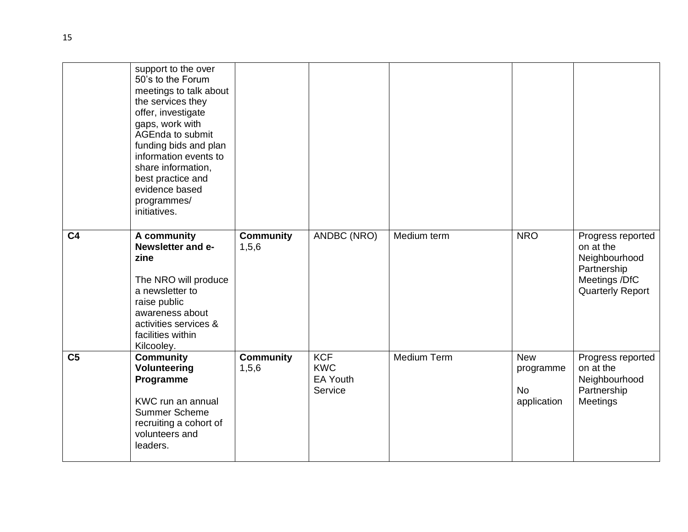|                | support to the over<br>50's to the Forum<br>meetings to talk about<br>the services they<br>offer, investigate<br>gaps, work with<br>AGEnda to submit<br>funding bids and plan<br>information events to<br>share information,<br>best practice and<br>evidence based<br>programmes/<br>initiatives. |                           |                                                        |             |                                                     |                                                                                                            |
|----------------|----------------------------------------------------------------------------------------------------------------------------------------------------------------------------------------------------------------------------------------------------------------------------------------------------|---------------------------|--------------------------------------------------------|-------------|-----------------------------------------------------|------------------------------------------------------------------------------------------------------------|
| C <sub>4</sub> | A community<br>Newsletter and e-<br>zine<br>The NRO will produce<br>a newsletter to<br>raise public<br>awareness about<br>activities services &<br>facilities within<br>Kilcooley.                                                                                                                 | <b>Community</b><br>1,5,6 | ANDBC (NRO)                                            | Medium term | <b>NRO</b>                                          | Progress reported<br>on at the<br>Neighbourhood<br>Partnership<br>Meetings /DfC<br><b>Quarterly Report</b> |
| C <sub>5</sub> | <b>Community</b><br><b>Volunteering</b><br>Programme<br>KWC run an annual<br><b>Summer Scheme</b><br>recruiting a cohort of<br>volunteers and<br>leaders.                                                                                                                                          | <b>Community</b><br>1,5,6 | <b>KCF</b><br><b>KWC</b><br><b>EA Youth</b><br>Service | Medium Term | <b>New</b><br>programme<br><b>No</b><br>application | Progress reported<br>on at the<br>Neighbourhood<br>Partnership<br>Meetings                                 |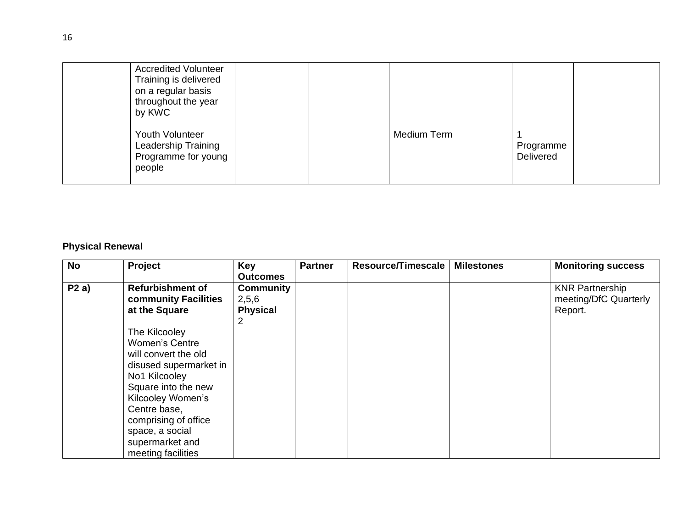| <b>Accredited Volunteer</b><br>Training is delivered<br>on a regular basis<br>throughout the year<br>by KWC |  |             |                               |  |
|-------------------------------------------------------------------------------------------------------------|--|-------------|-------------------------------|--|
| Youth Volunteer<br>Leadership Training<br>Programme for young<br>people                                     |  | Medium Term | Programme<br><b>Delivered</b> |  |

## **Physical Renewal**

| <b>No</b> | Project                                                                                                                                                                                                                                                   | <b>Key</b><br><b>Outcomes</b>                | <b>Partner</b> | Resource/Timescale | <b>Milestones</b> | <b>Monitoring success</b>                                  |
|-----------|-----------------------------------------------------------------------------------------------------------------------------------------------------------------------------------------------------------------------------------------------------------|----------------------------------------------|----------------|--------------------|-------------------|------------------------------------------------------------|
| P2a)      | <b>Refurbishment of</b><br>community Facilities<br>at the Square                                                                                                                                                                                          | <b>Community</b><br>2,5,6<br><b>Physical</b> |                |                    |                   | <b>KNR Partnership</b><br>meeting/DfC Quarterly<br>Report. |
|           | The Kilcooley<br><b>Women's Centre</b><br>will convert the old<br>disused supermarket in<br>No1 Kilcooley<br>Square into the new<br>Kilcooley Women's<br>Centre base,<br>comprising of office<br>space, a social<br>supermarket and<br>meeting facilities | $\overline{2}$                               |                |                    |                   |                                                            |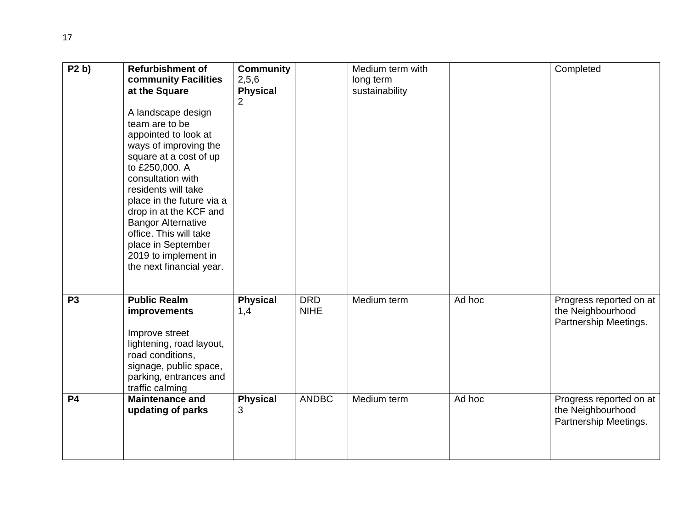| P2 b)          | <b>Refurbishment of</b><br>community Facilities<br>at the Square<br>A landscape design<br>team are to be<br>appointed to look at<br>ways of improving the<br>square at a cost of up<br>to £250,000. A<br>consultation with<br>residents will take<br>place in the future via a<br>drop in at the KCF and<br><b>Bangor Alternative</b><br>office. This will take<br>place in September<br>2019 to implement in<br>the next financial year. | <b>Community</b><br>2,5,6<br><b>Physical</b><br>$\overline{2}$ |                           | Medium term with<br>long term<br>sustainability |        | Completed                                                             |
|----------------|-------------------------------------------------------------------------------------------------------------------------------------------------------------------------------------------------------------------------------------------------------------------------------------------------------------------------------------------------------------------------------------------------------------------------------------------|----------------------------------------------------------------|---------------------------|-------------------------------------------------|--------|-----------------------------------------------------------------------|
| P <sub>3</sub> | <b>Public Realm</b><br>improvements<br>Improve street<br>lightening, road layout,<br>road conditions,<br>signage, public space,<br>parking, entrances and<br>traffic calming                                                                                                                                                                                                                                                              | <b>Physical</b><br>1,4                                         | <b>DRD</b><br><b>NIHE</b> | Medium term                                     | Ad hoc | Progress reported on at<br>the Neighbourhood<br>Partnership Meetings. |
| <b>P4</b>      | <b>Maintenance and</b><br>updating of parks                                                                                                                                                                                                                                                                                                                                                                                               | <b>Physical</b><br>3                                           | <b>ANDBC</b>              | Medium term                                     | Ad hoc | Progress reported on at<br>the Neighbourhood<br>Partnership Meetings. |